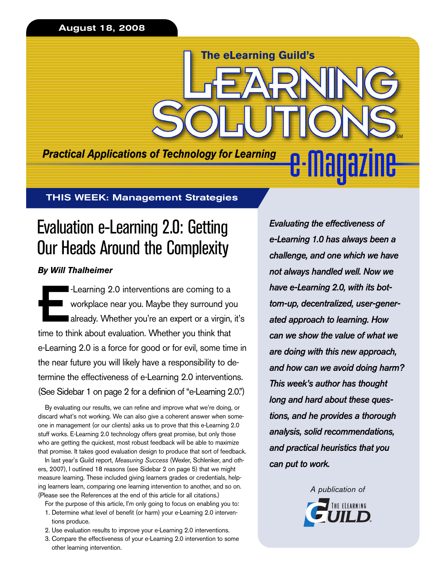**August 18, 2008**

*Practical Applications of Technology for Learning*

**The eLearning Guild's**

**THIS WEEK: Management Strategies**

# Evaluation e-Learning 2.0: Getting Our Heads Around the Complexity

# *By Will Thalheimer*

E-Learning 2.0 interventions are coming to a<br>workplace near you. Maybe they surround you already. Whether you're an expert or a virgin<br>time to think about evaluation. Whether you think that workplace near you. Maybe they surround you already. Whether you're an expert or a virgin, it's time to think about evaluation. Whether you think that e-Learning 2.0 is a force for good or for evil, some time in the near future you will likely have a responsibility to determine the effectiveness of e-Learning 2.0 interventions. (See Sidebar 1 on page 2 for a definion of "e-Learning 2.0.")

By evaluating our results, we can refine and improve what we're doing, or discard what's not working. We can also give a coherent answer when someone in management (or our clients) asks us to prove that this e-Learning 2.0 stuff works. E-Learning 2.0 technology offers great promise, but only those who are getting the quickest, most robust feedback will be able to maximize that promise. It takes good evaluation design to produce that sort of feedback.

In last year's Guild report, *Measuring Success* (Wexler, Schlenker, and others, 2007), I outlined 18 reasons (see Sidebar 2 on page 5) that we might measure learning. These included giving learners grades or credentials, helping learners learn, comparing one learning intervention to another, and so on. (Please see the References at the end of this article for all citations.)

- For the purpose of this article, I'm only going to focus on enabling you to:
- 1. Determine what level of benefit (or harm) your e-Learning 2.0 interventions produce.
- 2. Use evaluation results to improve your e-Learning 2.0 interventions.
- 3. Compare the effectiveness of your e-Learning 2.0 intervention to some other learning intervention.

*Evaluating the effectiveness of e-Learning 1.0 has always been a challenge, and one which we have not always handled well. Now we have e-Learning 2.0, with its bottom-up, decentralized, user-generated approach to learning. How can we show the value of what we are doing with this new approach, and how can we avoid doing harm? This week's author has thought long and hard about these questions, and he provides a thorough analysis, solid recommendations, and practical heuristics that you can put to work.*

SM

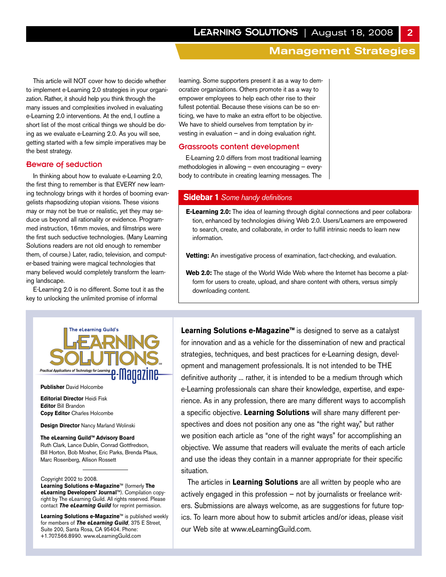This article will NOT cover how to decide whether to implement e-Learning 2.0 strategies in your organization. Rather, it should help you think through the many issues and complexities involved in evaluating e-Learning 2.0 interventions. At the end, I outline a short list of the most critical things we should be doing as we evaluate e-Learning 2.0. As you will see, getting started with a few simple imperatives may be the best strategy.

# Beware of seduction

In thinking about how to evaluate e-Learning 2.0, the first thing to remember is that EVERY new learning technology brings with it hordes of booming evangelists rhapsodizing utopian visions. These visions may or may not be true or realistic, yet they may seduce us beyond all rationality or evidence. Programmed instruction, 16mm movies, and filmstrips were the first such seductive technologies. (Many Learning Solutions readers are not old enough to remember them, of course.) Later, radio, television, and computer-based training were magical technologies that many believed would completely transform the learning landscape.

E-Learning 2.0 is no different. Some tout it as the key to unlocking the unlimited promise of informal

learning. Some supporters present it as a way to democratize organizations. Others promote it as a way to empower employees to help each other rise to their fullest potential. Because these visions can be so enticing, we have to make an extra effort to be objective. We have to shield ourselves from temptation by investing in evaluation — and in doing evaluation right.

#### Grassroots content development

E-Learning 2.0 differs from most traditional learning methodologies in allowing — even encouraging — everybody to contribute in creating learning messages. The

## **Sidebar 1** *Some handy definitions*

**E-Learning 2.0:** The idea of learning through digital connections and peer collaboration, enhanced by technologies driving Web 2.0. Users/Learners are empowered to search, create, and collaborate, in order to fulfill intrinsic needs to learn new information.

**Vetting:** An investigative process of examination, fact-checking, and evaluation.

**Web 2.0:** The stage of the World Wide Web where the Internet has become a platform for users to create, upload, and share content with others, versus simply downloading content.



**Publisher** David Holcombe

**Editorial Director** Heidi Fisk **Editor** Bill Brandon **Copy Editor** Charles Holcombe

**Design Director** Nancy Marland Wolinski

**The eLearning Guild™ Advisory Board** Ruth Clark, Lance Dublin, Conrad Gottfredson, Bill Horton, Bob Mosher, Eric Parks, Brenda Pfaus, Marc Rosenberg, Allison Rossett

Copyright 2002 to 2008. **Learning Solutions e-Magazine**™ (formerly **The eLearning Developers' Journal**™). Compilation copyright by The eLearning Guild. All rights reserved. Please contact *The eLearning Guild* for reprint permission.

**Learning Solutions e-Magazine**™ is published weekly for members of *The eLearning Guild*, 375 E Street, Suite 200, Santa Rosa, CA 95404. Phone: +1.707.566.8990. www.eLearningGuild.com

**Learning Solutions e-Magazine™** is designed to serve as a catalyst for innovation and as a vehicle for the dissemination of new and practical strategies, techniques, and best practices for e-Learning design, development and management professionals. It is not intended to be THE definitive authority ... rather, it is intended to be a medium through which e-Learning professionals can share their knowledge, expertise, and experience. As in any profession, there are many different ways to accomplish a specific objective. **Learning Solutions** will share many different perspectives and does not position any one as "the right way," but rather we position each article as "one of the right ways" for accomplishing an objective. We assume that readers will evaluate the merits of each article and use the ideas they contain in a manner appropriate for their specific situation.

The articles in **Learning Solutions** are all written by people who are actively engaged in this profession — not by journalists or freelance writers. Submissions are always welcome, as are suggestions for future topics. To learn more about how to submit articles and/or ideas, please visit our Web site at www.eLearningGuild.com.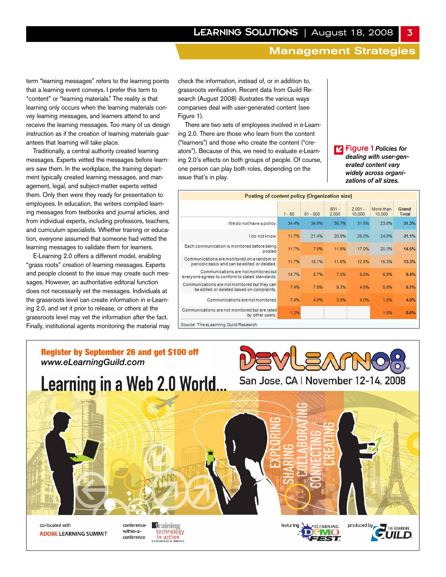term "learning messages" refers to the learning points that a learning event conveys. I prefer this term to "content" or "learning materials." The reality is that learning only occurs when the learning materials convey learning messages, and learners attend to and receive the learning messages. Too many of us design instruction as if the creation of learning materials guarantees that learning will take place.

Traditionally, a central authority created learning messages. Experts vetted the messages before learners saw them. In the workplace, the training department typically created learning messages, and management, legal, and subject-matter experts vetted them. Only then were they ready for presentation to employees. In education, the writers compiled learning messages from textbooks and journal articles, and from individual experts, including professors, teachers, and curriculum specialists. Whether training or education, everyone assumed that someone had vetted the learning messages to validate them for learners.

E-Learning 2.0 offers a different model, enabling "grass roots" creation of learning messages. Experts and people closest to the issue may create such messages. However, an authoritative editorial function does not necessarily vet the messages. Individuals at the grassroots level can create information in e-Learning 2.0, and vet it prior to release, or others at the grassroots level may vet the information after the fact. Finally, institutional agents monitoring the material may check the information, instead of, or in addition to, grassroots verification. Recent data from Guild Research (August 2008) illustrates the various ways companies deal with user-generated content (see Figure 1).

There are two sets of employees involved in e-Learning 2.0. There are those who learn from the content ("learners") and those who create the content ("creators"). Because of this, we need to evaluate e-Learning 2.0's effects on both groups of people. Of course, one person can play both roles, depending on the issue that's in play.

Figure 1 *Policies for* î*dealing with user-generated content vary widely across organizations of all sizes.*

| Posting of content policy (Organization size)                                               |          |            |                  |                     |                     |                |
|---------------------------------------------------------------------------------------------|----------|------------|------------------|---------------------|---------------------|----------------|
|                                                                                             | $1 - 50$ | $51 - 500$ | $501 -$<br>2,000 | $2.001 -$<br>10,000 | More than<br>10,000 | Grand<br>Total |
| We do not have a policy.                                                                    | 34.4%    | 34.9%      | 35.7%            | 31.5%               | 23.8%               | 31.3%          |
| I do notknow.                                                                               | 11.7%    | 21.4%      | 20.9%            | 25.0%               | 24.8%               | 21.1%          |
| Each communication is monitored before being<br>posted                                      | 11.7%    | 7.9%       | 11.6%            | 17.0%               | 20:3%               | 14.5%          |
| Communications are monitored on a random or<br>periodic basis and can be edited or deleted. | 11.7%    | 15.1%      | 11.6%            | 12.5%               | 15.3%               | 13.3%          |
| Communications are not monitored but<br>everyone agrees to conform to stated standards.     | 14.7%    | 8.7%       | 7.0%             | 5.5%                | 6.9%                | 8.4%           |
| Communications are not monitored but they can<br>be edited or deleted based on complaints.  | 7.4%     | 7.9%       | 9.3%             | 4.5%                | 5.9%                | 6.7%           |
| Communications are not monitored.                                                           | 7.4%     | 4.0%       | 3.9%             | 4.0%                | 1.5%                | 4.0%           |
| Communications are not monitored but are rated<br>by other users.                           | 1.2%     |            |                  |                     | 1.5%                | 0.6%           |

# Register by September 26 and get \$100 off *www.eLearningGuild.com*



San Jose, CA | November 12-14, 2008



conference-**Braining** within-atechnology conference **in action** 



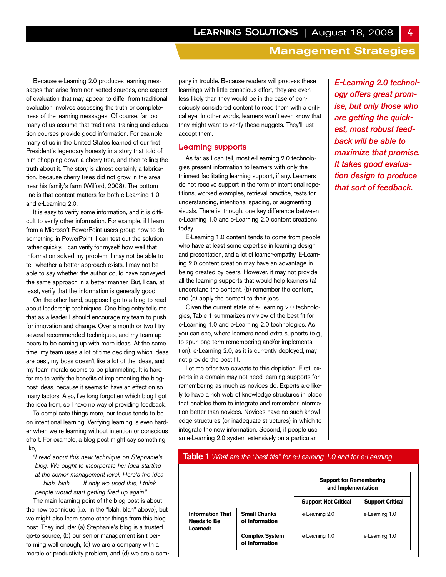Because e-Learning 2.0 produces learning messages that arise from non-vetted sources, one aspect of evaluation that may appear to differ from traditional evaluation involves assessing the truth or completeness of the learning messages. Of course, far too many of us assume that traditional training and education courses provide good information. For example, many of us in the United States learned of our first President's legendary honesty in a story that told of him chopping down a cherry tree, and then telling the truth about it. The story is almost certainly a fabrication, because cherry trees did not grow in the area near his family's farm (Wilford, 2008). The bottom line is that content matters for both e-Learning 1.0 and e-Learning 2.0.

It is easy to verify some information, and it is difficult to verify other information. For example, if I learn from a Microsoft PowerPoint users group how to do something in PowerPoint, I can test out the solution rather quickly. I can verify for myself how well that information solved my problem. I may not be able to tell whether a better approach exists. I may not be able to say whether the author could have conveyed the same approach in a better manner. But, I can, at least, verify that the information is generally good.

On the other hand, suppose I go to a blog to read about leadership techniques. One blog entry tells me that as a leader I should encourage my team to push for innovation and change. Over a month or two I try several recommended techniques, and my team appears to be coming up with more ideas. At the same time, my team uses a lot of time deciding which ideas are best, my boss doesn't like a lot of the ideas, and my team morale seems to be plummeting. It is hard for me to verify the benefits of implementing the blogpost ideas, because it seems to have an effect on so many factors. Also, I've long forgotten which blog I got the idea from, so I have no way of providing feedback.

To complicate things more, our focus tends to be on intentional learning. Verifying learning is even harder when we're learning without intention or conscious effort. For example, a blog post might say something like,

*"I read about this new technique on Stephanie's blog. We ought to incorporate her idea starting at the senior management level. Here's the idea … blah, blah … . If only we used this, I think people would start getting fired up again."*

The main learning point of the blog post is about the new technique (i.e., in the "blah, blah" above), but we might also learn some other things from this blog post. They include: (a) Stephanie's blog is a trusted go-to source, (b) our senior management isn't performing well enough, (c) we are a company with a morale or productivity problem, and (d) we are a company in trouble. Because readers will process these learnings with little conscious effort, they are even less likely than they would be in the case of consciously considered content to read them with a critical eye. In other words, learners won't even know that they might want to verify these nuggets. They'll just accept them.

## Learning supports

As far as I can tell, most e-Learning 2.0 technologies present information to learners with only the thinnest facilitating learning support, if any. Learners do not receive support in the form of intentional repetitions, worked examples, retrieval practice, tests for understanding, intentional spacing, or augmenting visuals. There is, though, one key difference between e-Learning 1.0 and e-Learning 2.0 content creations today.

E-Learning 1.0 content tends to come from people who have at least some expertise in learning design and presentation, and a lot of learner-empathy. E-Learning 2.0 content creation may have an advantage in being created by peers. However, it may not provide all the learning supports that would help learners (a) understand the content, (b) remember the content, and (c) apply the content to their jobs.

Given the current state of e-Learning 2.0 technologies, Table 1 summarizes my view of the best fit for e-Learning 1.0 and e-Learning 2.0 technologies. As you can see, where learners need extra supports (e.g., to spur long-term remembering and/or implementation), e-Learning 2.0, as it is currently deployed, may not provide the best fit.

Let me offer two caveats to this depiction. First, experts in a domain may not need learning supports for remembering as much as novices do. Experts are likely to have a rich web of knowledge structures in place that enables them to integrate and remember information better than novices. Novices have no such knowledge structures (or inadequate structures) in which to integrate the new information. Second, if people use an e-Learning 2.0 system extensively on a particular

*E-Learning 2.0 technology offers great promise, but only those who are getting the quickest, most robust feedback will be able to maximize that promise. It takes good evaluation design to produce that sort of feedback.*

# **Table 1** *What are the "best fits" for e-Learning 1.0 and for e-Learning*

|                                                    |                                         | <b>Support for Remembering</b><br>and Implementation |                         |  |
|----------------------------------------------------|-----------------------------------------|------------------------------------------------------|-------------------------|--|
|                                                    |                                         | <b>Support Not Critical</b>                          | <b>Support Critical</b> |  |
| <b>Information That</b><br>Needs to Be<br>Learned: | <b>Small Chunks</b><br>of Information   | e-Learning 2.0                                       | e-Learning 1.0          |  |
|                                                    | <b>Complex System</b><br>of Information | e-Learning 1.0                                       | e-Learning 1.0          |  |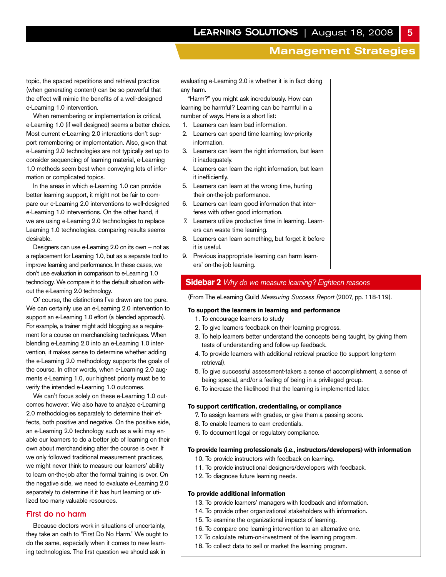topic, the spaced repetitions and retrieval practice (when generating content) can be so powerful that the effect will mimic the benefits of a well-designed e-Learning 1.0 intervention.

When remembering or implementation is critical, e-Learning 1.0 (if well designed) seems a better choice. Most current e-Learning 2.0 interactions don't support remembering or implementation. Also, given that e-Learning 2.0 technologies are not typically set up to consider sequencing of learning material, e-Learning 1.0 methods seem best when conveying lots of information or complicated topics.

In the areas in which e-Learning 1.0 can provide better learning support, it might not be fair to compare our e-Learning 2.0 interventions to well-designed e-Learning 1.0 interventions. On the other hand, if we are using e-Learning 2.0 technologies to replace Learning 1.0 technologies, comparing results seems desirable.

Designers can use e-Learning 2.0 on its own — not as a replacement for Learning 1.0, but as a separate tool to improve learning and performance. In these cases, we don't use evaluation in comparison to e-Learning 1.0 technology. We compare it to the default situation without the e-Learning 2.0 technology.

Of course, the distinctions I've drawn are too pure. We can certainly use an e-Learning 2.0 intervention to support an e-Learning 1.0 effort (a blended approach). For example, a trainer might add blogging as a requirement for a course on merchandising techniques. When blending e-Learning 2.0 into an e-Learning 1.0 intervention, it makes sense to determine whether adding the e-Learning 2.0 methodology supports the goals of the course. In other words, when e-Learning 2.0 augments e-Learning 1.0, our highest priority must be to verify the intended e-Learning 1.0 outcomes.

We can't focus solely on these e-Learning 1.0 outcomes however. We also have to analyze e-Learning 2.0 methodologies separately to determine their effects, both positive and negative. On the positive side, an e-Learning 2.0 technology such as a wiki may enable our learners to do a better job of learning on their own about merchandising after the course is over. If we only followed traditional measurement practices, we might never think to measure our learners' ability to learn on-the-job after the formal training is over. On the negative side, we need to evaluate e-Learning 2.0 separately to determine if it has hurt learning or utilized too many valuable resources.

#### First do no harm

Because doctors work in situations of uncertainty, they take an oath to "First Do No Harm." We ought to do the same, especially when it comes to new learning technologies. The first question we should ask in

evaluating e-Learning 2.0 is whether it is in fact doing any harm.

"Harm?" you might ask incredulously. How can learning be harmful? Learning can be harmful in a number of ways. Here is a short list:

- 1. Learners can learn bad information.
- 2. Learners can spend time learning low-priority information.
- 3. Learners can learn the right information, but learn it inadequately.
- 4. Learners can learn the right information, but learn it inefficiently.
- 5. Learners can learn at the wrong time, hurting their on-the-job performance.
- 6. Learners can learn good information that interferes with other good information.
- 7. Learners utilize productive time in learning. Learners can waste time learning.
- 8. Learners can learn something, but forget it before it is useful.
- 9. Previous inappropriate learning can harm learners' on-the-job learning.

# **Sidebar 2** *Why do we measure learning? Eighteen reasons*

(From The eLearning Guild *Measuring Success Report* (2007, pp. 118-119).

## **To support the learners in learning and performance**

- 1. To encourage learners to study
- 2. To give learners feedback on their learning progress.
- 3. To help learners better understand the concepts being taught, by giving them tests of understanding and follow-up feedback.
- 4. To provide learners with additional retrieval practice (to support long-term retrieval).
- 5. To give successful assessment-takers a sense of accomplishment, a sense of being special, and/or a feeling of being in a privileged group.
- 6. To increase the likelihood that the learning is implemented later.

#### **To support certification, credentialing, or compliance**

- 7. To assign learners with grades, or give them a passing score.
- 8. To enable learners to earn credentials.
- 9. To document legal or regulatory compliance.

#### **To provide learning professionals (i.e., instructors/developers) with information**

- 10. To provide instructors with feedback on learning.
- 11. To provide instructional designers/developers with feedback.
- 12. To diagnose future learning needs.

#### **To provide additional information**

- 13. To provide learners' managers with feedback and information.
- 14. To provide other organizational stakeholders with information.
- 15. To examine the organizational impacts of learning.
- 16. To compare one learning intervention to an alternative one.
- 17. To calculate return-on-investment of the learning program.
- 18. To collect data to sell or market the learning program.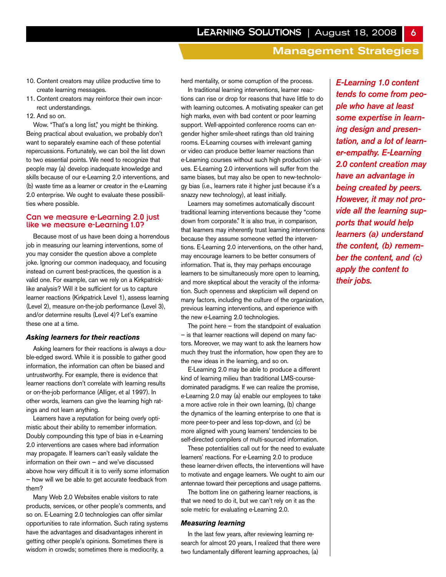- 10. Content creators may utilize productive time to create learning messages.
- 11. Content creators may reinforce their own incorrect understandings.
- 12. And so on.

Wow. "That's a long list," you might be thinking. Being practical about evaluation, we probably don't want to separately examine each of these potential repercussions. Fortunately, we can boil the list down to two essential points. We need to recognize that people may (a) develop inadequate knowledge and skills because of our e-Learning 2.0 interventions, and (b) waste time as a learner or creator in the e-Learning 2.0 enterprise. We ought to evaluate these possibilities where possible.

## Can we measure e-Learning 2.0 just like we measure e-Learning 1.0?

Because most of us have been doing a horrendous job in measuring our learning interventions, some of you may consider the question above a complete joke. Ignoring our common inadequacy, and focusing instead on current best-practices, the question is a valid one. For example, can we rely on a Kirkpatricklike analysis? Will it be sufficient for us to capture learner reactions (Kirkpatrick Level 1), assess learning (Level 2), measure on-the-job performance (Level 3), and/or determine results (Level 4)? Let's examine these one at a time.

#### *Asking learners for their reactions*

Asking learners for their reactions is always a double-edged sword. While it is possible to gather good information, the information can often be biased and untrustworthy. For example, there is evidence that learner reactions don't correlate with learning results or on-the-job performance (Alliger, et al 1997). In other words, learners can give the learning high ratings and not learn anything.

Learners have a reputation for being overly optimistic about their ability to remember information. Doubly compounding this type of bias in e-Learning 2.0 interventions are cases where bad information may propagate. If learners can't easily validate the information on their own — and we've discussed above how very difficult it is to verify some information — how will we be able to get accurate feedback from them?

Many Web 2.0 Websites enable visitors to rate products, services, or other people's comments, and so on. E-Learning 2.0 technologies can offer similar opportunities to rate information. Such rating systems have the advantages and disadvantages inherent in getting other people's opinions. Sometimes there is wisdom in crowds; sometimes there is mediocrity, a

herd mentality, or some corruption of the process.

In traditional learning interventions, learner reactions can rise or drop for reasons that have little to do with learning outcomes. A motivating speaker can get high marks, even with bad content or poor learning support. Well-appointed conference rooms can engender higher smile-sheet ratings than old training rooms. E-Learning courses with irrelevant gaming or video can produce better learner reactions than e-Learning courses without such high production values. E-Learning 2.0 interventions will suffer from the same biases, but may also be open to new-technology bias (i.e., learners rate it higher just because it's a snazzy new technology), at least initially.

Learners may sometimes automatically discount traditional learning interventions because they "come down from corporate." It is also true, in comparison, that learners may inherently trust learning interventions because they assume someone vetted the interventions. E-Learning 2.0 interventions, on the other hand, may encourage learners to be better consumers of information. That is, they may perhaps encourage learners to be simultaneously more open to learning, and more skeptical about the veracity of the information. Such openness and skepticism will depend on many factors, including the culture of the organization, previous learning interventions, and experience with the new e-Learning 2.0 technologies.

The point here  $-$  from the standpoint of evaluation — is that learner reactions will depend on many factors. Moreover, we may want to ask the learners how much they trust the information, how open they are to the new ideas in the learning, and so on.

E-Learning 2.0 may be able to produce a different kind of learning milieu than traditional LMS-coursedominated paradigms. If we can realize the promise, e-Learning 2.0 may (a) enable our employees to take a more active role in their own learning, (b) change the dynamics of the learning enterprise to one that is more peer-to-peer and less top-down, and (c) be more aligned with young learners' tendencies to be self-directed compilers of multi-sourced information.

These potentialities call out for the need to evaluate learners' reactions. For e-Learning 2.0 to produce these learner-driven effects, the interventions will have to motivate and engage learners. We ought to aim our antennae toward their perceptions and usage patterns.

The bottom line on gathering learner reactions, is that we need to do it, but we can't rely on it as the sole metric for evaluating e-Learning 2.0.

#### *Measuring learning*

In the last few years, after reviewing learning research for almost 20 years, I realized that there were two fundamentally different learning approaches, (a)

*E-Learning 1.0 content tends to come from people who have at least some expertise in learning design and presentation, and a lot of learner-empathy. E-Learning 2.0 content creation may have an advantage in being created by peers. However, it may not provide all the learning supports that would help learners (a) understand the content, (b) remember the content, and (c) apply the content to their jobs.*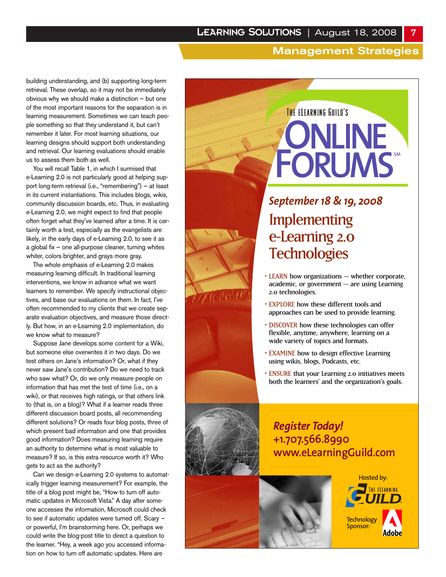building understanding, and (b) supporting long-term retrieval. These overlap, so it may not be immediately obvious why we should make a distinction — but one of the most important reasons for the separation is in learning measurement. Sometimes we can teach people something so that they understand it, but can't remember it later. For most learning situations, our learning designs should support both understanding and retrieval. Our learning evaluations should enable us to assess them both as well.

You will recall Table 1, in which I surmised that e-Learning 2.0 is not particularly good at helping support long-term retrieval (i.e., "remembering") — at least in its current instantiations. This includes blogs, wikis, community discussion boards, etc. Thus, in evaluating e-Learning 2.0, we might expect to find that people often forget what they've learned after a time. It is certainly worth a test, especially as the evangelists are likely, in the early days of e-Learning 2.0, to see it as a global fix — one all-purpose cleaner, turning whites whiter, colors brighter, and grays more gray.

The whole emphasis of e-Learning 2.0 makes measuring learning difficult. In traditional learning interventions, we know in advance what we want learners to remember. We specify instructional objectives, and base our evaluations on them. In fact, I've often recommended to my clients that we create separate evaluation objectives, and measure those directly. But how, in an e-Learning 2.0 implementation, do we know what to measure?

Suppose Jane develops some content for a Wiki, but someone else overwrites it in two days. Do we test others on Jane's information? Or, what if they never saw Jane's contribution? Do we need to track who saw what? Or, do we only measure people on information that has met the test of time (i.e., on a wiki), or that receives high ratings, or that others link to (that is, on a blog)? What if a learner reads three different discussion board posts, all recommending different solutions? Or reads four blog posts, three of which present bad information and one that provides good information? Does measuring learning require an authority to determine what is most valuable to measure? If so, is this extra resource worth it? Who gets to act as the authority?

Can we design e-Learning 2.0 systems to automatically trigger learning measurement? For example, the title of a blog post might be, "How to turn off automatic updates in Microsoft Vista." A day after someone accesses the information, Microsoft could check to see if automatic updates were turned off. Scary or powerful, I'm brainstorming here. Or, perhaps we could write the blog-post title to direct a question to the learner. "Hey, a week ago you accessed information on how to turn off automatic updates. Here are

# THE ELEARNING GUILD'S ONLINE **FORUMS**

# **Implementing** e-Learning 2.0 **Technologies** *September 18 & 19, 2008*

- LEARN how organizations whether corporate, academic, or government — are using Learning 2.0 technologies.
- EXPLORE how these different tools and approaches can be used to provide learning.
- DISCOVER how these technologies can offer flexible, anytime, anywhere, learning on a wide variety of topics and formats.
- EXAMINE how to design effective Learning using wikis, blogs, Podcasts, etc.
- ENSURE that your Learning 2.0 initiatives meets both the learners' and the organization's goals.

# *Register Today!*  **+1.707.566.8990 www.eLearningGuild.com**



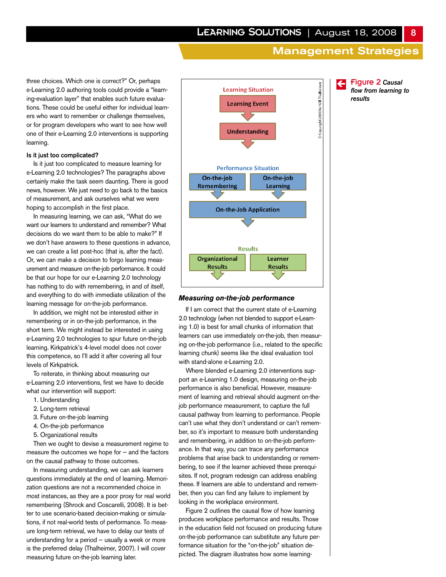three choices. Which one is correct?" Or, perhaps e-Learning 2.0 authoring tools could provide a "learning-evaluation layer" that enables such future evaluations. These could be useful either for individual learners who want to remember or challenge themselves, or for program developers who want to see how well one of their e-Learning 2.0 interventions is supporting learning.

## **Is it just too complicated?**

Is it just too complicated to measure learning for e-Learning 2.0 technologies? The paragraphs above certainly make the task seem daunting. There is good news, however. We just need to go back to the basics of measurement, and ask ourselves what we were hoping to accomplish in the first place.

In measuring learning, we can ask, "What do we want our learners to understand and remember? What decisions do we want them to be able to make?" If we don't have answers to these questions in advance, we can create a list post-hoc (that is, after the fact). Or, we can make a decision to forgo learning measurement and measure on-the-job performance. It could be that our hope for our e-Learning 2.0 technology has nothing to do with remembering, in and of itself, and everything to do with immediate utilization of the learning message for on-the-job performance.

In addition, we might not be interested either in remembering or in on-the-job performance, in the short term. We might instead be interested in using e-Learning 2.0 technologies to spur future on-the-job learning. Kirkpatrick's 4-level model does not cover this competence, so I'll add it after covering all four levels of Kirkpatrick.

To reiterate, in thinking about measuring our e-Learning 2.0 interventions, first we have to decide what our intervention will support:

- 1. Understanding
- 2. Long-term retrieval
- 3. Future on-the-job learning
- 4. On-the-job performance
- 5. Organizational results

Then we ought to devise a measurement regime to measure the outcomes we hope for — and the factors on the causal pathway to those outcomes.

In measuring understanding, we can ask learners questions immediately at the end of learning. Memorization questions are not a recommended choice in most instances, as they are a poor proxy for real world remembering (Shrock and Coscarelli, 2008). It is better to use scenario-based decision-making or simulations, if not real-world tests of performance. To measure long-term retrieval, we have to delay our tests of understanding for a period — usually a week or more is the preferred delay (Thalheimer, 2007). I will cover measuring future on-the-job learning later.



#### *Measuring on-the-job performance*

If I am correct that the current state of e-Learning 2.0 technology (when not blended to support e-Learning 1.0) is best for small chunks of information that learners can use immediately on-the-job, then measuring on-the-job performance (i.e., related to the specific learning chunk) seems like the ideal evaluation tool with stand-alone e-Learning 2.0.

Where blended e-Learning 2.0 interventions support an e-Learning 1.0 design, measuring on-the-job performance is also beneficial. However, measurement of learning and retrieval should augment on-thejob performance measurement, to capture the full causal pathway from learning to performance. People can't use what they don't understand or can't remember, so it's important to measure both understanding and remembering, in addition to on-the-job performance. In that way, you can trace any performance problems that arise back to understanding or remembering, to see if the learner achieved these prerequisites. If not, program redesign can address enabling these. If learners are able to understand and remember, then you can find any failure to implement by looking in the workplace environment.

Figure 2 outlines the causal flow of how learning produces workplace performance and results. Those in the education field not focused on producing future on-the-job performance can substitute any future performance situation for the "on-the-job" situation depicted. The diagram illustrates how some learningç Figure 2 *Causal flow from learning to results*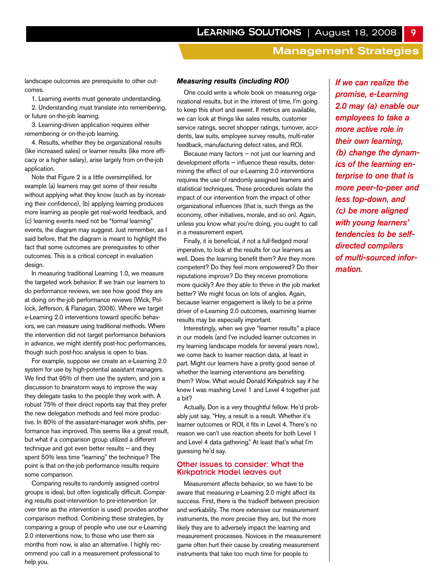landscape outcomes are prerequisite to other outcomes.

1. Learning events must generate understanding.

2. Understanding must translate into remembering, or future on-the-job learning.

3. Learning-driven application requires either remembering or on-the-job learning.

4. Results, whether they be organizational results (like increased sales) or learner results (like more efficacy or a higher salary), arise largely from on-the-job application.

Note that Figure 2 is a little oversimplified, for example (a) learners may get some of their results without applying what they know (such as by increasing their confidence), (b) applying learning produces more learning as people get real-world feedback, and (c) learning events need not be "formal learning" events, the diagram may suggest. Just remember, as I said before, that the diagram is meant to highlight the fact that some outcomes are prerequisites to other outcomes. This is a critical concept in evaluation design.

In measuring traditional Learning 1.0, we measure the targeted work behavior. If we train our learners to do performance reviews, we see how good they are at doing on-the-job performance reviews (Wick, Pollock, Jefferson, & Flanagan, 2006). Where we target e-Learning 2.0 interventions toward specific behaviors, we can measure using traditional methods. Where the intervention did not target performance behaviors in advance, we might identify post-hoc performances, though such post-hoc analysis is open to bias.

For example, suppose we create an e-Learning 2.0 system for use by high-potential assistant managers. We find that 95% of them use the system, and join a discussion to brainstorm ways to improve the way they delegate tasks to the people they work with. A robust 75% of their direct reports say that they prefer the new delegation methods and feel more productive. In 80% of the assistant-manager work shifts, performance has improved. This seems like a great result, but what if a comparison group utilized a different technique and got even better results — and they spent 50% less time "learning" the technique? The point is that on-the-job performance results require some comparison.

Comparing results to randomly assigned control groups is ideal, but often logistically difficult. Comparing results post-intervention to pre-intervention (or over time as the intervention is used) provides another comparison method. Combining these strategies, by comparing a group of people who use our e-Learning 2.0 interventions now, to those who use them six months from now, is also an alternative. I highly recommend you call in a measurement professional to help you.

#### *Measuring results (including ROI)*

One could write a whole book on measuring organizational results, but in the interest of time, I'm going to keep this short and sweet. If metrics are available, we can look at things like sales results, customer service ratings, secret shopper ratings, turnover, accidents, law suits, employee survey results, multi-rater feedback, manufacturing defect rates, and ROI.

Because many factors — not just our learning and development efforts — influence these results, determining the effect of our e-Learning 2.0 interventions requires the use of randomly assigned learners and statistical techniques. These procedures isolate the impact of our intervention from the impact of other organizational influences (that is, such things as the economy, other initiatives, morale, and so on). Again, unless you know what you're doing, you ought to call in a measurement expert.

Finally, it is beneficial, if not a full-fledged moral imperative, to look at the results for our learners as well. Does the learning benefit them? Are they more competent? Do they feel more empowered? Do their reputations improve? Do they receive promotions more quickly? Are they able to thrive in the job market better? We might focus on lots of angles. Again, because learner engagement is likely to be a prime driver of e-Learning 2.0 outcomes, examining learner results may be especially important.

Interestingly, when we give "learner results" a place in our models (and I've included learner outcomes in my learning landscape models for several years now), we come back to learner reaction data, at least in part. Might our learners have a pretty good sense of whether the learning interventions are benefiting them? Wow. What would Donald Kirkpatrick say if he knew I was mashing Level 1 and Level 4 together just a bit?

Actually, Don is a very thoughtful fellow. He'd probably just say, "Hey, a result is a result. Whether it's learner outcomes or ROI, it fits in Level 4. There's no reason we can't use reaction sheets for both Level 1 and Level 4 data gathering." At least that's what I'm guessing he'd say.

## Other issues to consider: What the Kirkpatrick Model leaves out

Measurement affects behavior, so we have to be aware that measuring e-Learning 2.0 might affect its success. First, there is the tradeoff between precision and workability. The more extensive our measurement instruments, the more precise they are, but the more likely they are to adversely impact the learning and measurement processes. Novices in the measurement game often hurt their cause by creating measurement instruments that take too much time for people to

*If we can realize the promise, e-Learning 2.0 may (a) enable our employees to take a more active role in their own learning, (b) change the dynamics of the learning enterprise to one that is more peer-to-peer and less top-down, and (c) be more aligned with young learners' tendencies to be selfdirected compilers of multi-sourced information.*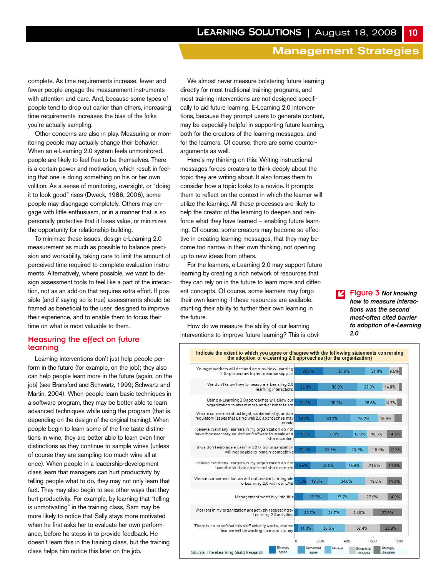complete. As time requirements increase, fewer and fewer people engage the measurement instruments with attention and care. And, because some types of people tend to drop out earlier than others, increasing time requirements increases the bias of the folks you're actually sampling.

Other concerns are also in play. Measuring or monitoring people may actually change their behavior. When an e-Learning 2.0 system feels unmonitored, people are likely to feel free to be themselves. There is a certain power and motivation, which result in feeling that one is doing something on his or her own volition. As a sense of monitoring, oversight, or "doing it to look good" rises (Dweck, 1986, 2006), some people may disengage completely. Others may engage with little enthusiasm, or in a manner that is so personally protective that it loses value, or minimizes the opportunity for relationship-building.

To minimize these issues, design e-Learning 2.0 measurement as much as possible to balance precision and workability, taking care to limit the amount of perceived time required to complete evaluation instruments. Alternatively, where possible, we want to design assessment tools to feel like a part of the interaction, not as an add-on that requires extra effort. If possible (and if saying so is true) assessments should be framed as beneficial to the user, designed to improve their experience, and to enable them to focus their time on what is most valuable to them.

## Measuring the effect on future learning

Learning interventions don't just help people perform in the future (for example, on the job); they also can help people learn more in the future (again, on the job) (see Bransford and Schwartz, 1999; Schwartz and Martin, 2004). When people learn basic techniques in a software program, they may be better able to learn advanced techniques while using the program (that is, depending on the design of the original training). When people begin to learn some of the fine taste distinctions in wine, they are better able to learn even finer distinctions as they continue to sample wines (unless of course they are sampling too much wine all at once). When people in a leadership-development class learn that managers can hurt productivity by telling people what to do, they may not only learn that fact. They may also begin to see other ways that they hurt productivity. For example, by learning that "telling is unmotivating" in the training class, Sam may be more likely to notice that Sally stays more motivated when he first asks her to evaluate her own performance, before he steps in to provide feedback. He doesn't learn this in the training class, but the training class helps him notice this later on the job.

We almost never measure bolstering future learning directly for most traditional training programs, and most training interventions are not designed specifically to aid future learning. E-Learning 2.0 interventions, because they prompt users to generate content, may be especially helpful in supporting future learning, both for the creators of the learning messages, and for the learners. Of course, there are some counterarguments as well.

Here's my thinking on this: Writing instructional messages forces creators to think deeply about the topic they are writing about. It also forces them to consider how a topic looks to a novice. It prompts them to reflect on the context in which the learner will utilize the learning. All these processes are likely to help the creator of the learning to deepen and reinforce what they have learned — enabling future learning. Of course, some creators may become so effective in creating learning messages, that they may become too narrow in their own thinking, not opening up to new ideas from others.

For the learners, e-Learning 2.0 may support future learning by creating a rich network of resources that they can rely on in the future to learn more and different concepts. Of course, some learners may forgo their own learning if these resources are available, stunting their ability to further their own learning in the future.

How do we measure the ability of our learning interventions to improve future learning? This is obvi-

Figure 3 *Not knowing how to measure interactions was the second most-often cited barrier to adoption of e-Learning 2.0* î

| Younger workers will demand we provide e-Learning<br>2.0 approaches to performance support                                     | 28.8%          | 38.8%      |       | 21.8% | 9.5%  |
|--------------------------------------------------------------------------------------------------------------------------------|----------------|------------|-------|-------|-------|
| We don't know how to measure e-Learning 2.0<br>learning interactions                                                           | 22.3%          | 36.0%      |       | 23.3% | 14.8% |
| Using e-Learning 2.0 approaches will allow our<br>organization to attract more and/or better talent                            | 21/2%          | 36.2%      |       | 26.6% | 10.7% |
| We are concerned about legal, confidentiality, and/or<br>requiatory issues that using web 2.0 approaches may<br>create         | 18.7%          | 33.2%      | 25.2% |       | 15.5% |
| I believe that many learners in my organization do not<br>have the necessary equipment/software to create and<br>share content | 19.5%          | 35.0%      | 12.9% | 18.3% | 14.3% |
| If we don't embrace e-Learning 2.0, our organization<br>will not be able to remain competitive                                 | 201196         | 28 3%      | 20.2% | 19.0% | 12.3% |
| I believe that many learners in my organization do not<br>have the skills to create and share content.                         | 15.5%          | 32.0%      | 15.9% | 21.8% | 14 9% |
| We are concerned that we will not be able to integrate<br>e-Learning 2.0 with our LMS                                          | 19.6%<br>11.3% | 34.6%      |       | 19.8% | 14.6% |
| Management won't buy into this                                                                                                 | 22.7%          | 27.7%      |       | 27.0% | 14.0% |
| Workers in my organization are actively requesting e-<br>Learning 2.0 activities                                               | 22.7%          | 21.7%      | 24.9% |       | 27.2% |
| There is no proof that this stuff actually works, and we<br>fear we will be wasting time and money                             | 14:3%          | 28.5%      | 32.4% |       | 20.9% |
|                                                                                                                                | o              | 400<br>200 |       | 600   | 800   |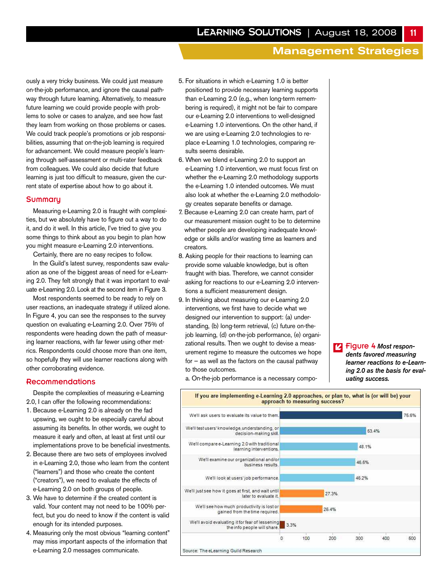ously a very tricky business. We could just measure on-the-job performance, and ignore the causal pathway through future learning. Alternatively, to measure future learning we could provide people with problems to solve or cases to analyze, and see how fast they learn from working on those problems or cases. We could track people's promotions or job responsibilities, assuming that on-the-job learning is required for advancement. We could measure people's learning through self-assessment or multi-rater feedback from colleagues. We could also decide that future learning is just too difficult to measure, given the current state of expertise about how to go about it.

#### **Summary**

Measuring e-Learning 2.0 is fraught with complexities, but we absolutely have to figure out a way to do it, and do it well. In this article, I've tried to give you some things to think about as you begin to plan how you might measure e-Learning 2.0 interventions.

Certainly, there are no easy recipes to follow.

In the Guild's latest survey, respondents saw evaluation as one of the biggest areas of need for e-Learning 2.0. They felt strongly that it was important to evaluate e-Learning 2.0. Look at the second item in Figure 3.

Most respondents seemed to be ready to rely on user reactions, an inadequate strategy if utilized alone. In Figure 4, you can see the responses to the survey question on evaluating e-Learning 2.0. Over 75% of respondents were heading down the path of measuring learner reactions, with far fewer using other metrics. Respondents could choose more than one item, so hopefully they will use learner reactions along with other corroborating evidence.

#### Recommendations

Despite the complexities of measuring e-Learning 2.0, I can offer the following recommendations:

- 1. Because e-Learning 2.0 is already on the fad upswing, we ought to be especially careful about assuming its benefits. In other words, we ought to measure it early and often, at least at first until our implementations prove to be beneficial investments.
- 2. Because there are two sets of employees involved in e-Learning 2.0, those who learn from the content ("learners") and those who create the content ("creators"), we need to evaluate the effects of e-Learning 2.0 on both groups of people.
- 3. We have to determine if the created content is valid. Your content may not need to be 100% perfect, but you do need to know if the content is valid enough for its intended purposes.
- 4. Measuring only the most obvious "learning content" may miss important aspects of the information that e-Learning 2.0 messages communicate.
- 5. For situations in which e-Learning 1.0 is better positioned to provide necessary learning supports than e-Learning 2.0 (e.g., when long-term remembering is required), it might not be fair to compare our e-Learning 2.0 interventions to well-designed e-Learning 1.0 interventions. On the other hand, if we are using e-Learning 2.0 technologies to replace e-Learning 1.0 technologies, comparing results seems desirable.
- 6. When we blend e-Learning 2.0 to support an e-Learning 1.0 intervention, we must focus first on whether the e-Learning 2.0 methodology supports the e-Learning 1.0 intended outcomes. We must also look at whether the e-Learning 2.0 methodology creates separate benefits or damage.
- 7. Because e-Learning 2.0 can create harm, part of our measurement mission ought to be to determine whether people are developing inadequate knowledge or skills and/or wasting time as learners and creators.
- 8. Asking people for their reactions to learning can provide some valuable knowledge, but is often fraught with bias. Therefore, we cannot consider asking for reactions to our e-Learning 2.0 interventions a sufficient measurement design.
- 9. In thinking about measuring our e-Learning 2.0 interventions, we first have to decide what we designed our intervention to support: (a) understanding, (b) long-term retrieval, (c) future on-thejob learning, (d) on-the-job performance, (e) organizational results. Then we ought to devise a measurement regime to measure the outcomes we hope for — as well as the factors on the causal pathway to those outcomes.

Figure 4 *Most respon-*î*dents favored measuring learner reactions to e-Learning 2.0 as the basis for evaluating success.*



a. On-the-job performance is a necessary compo-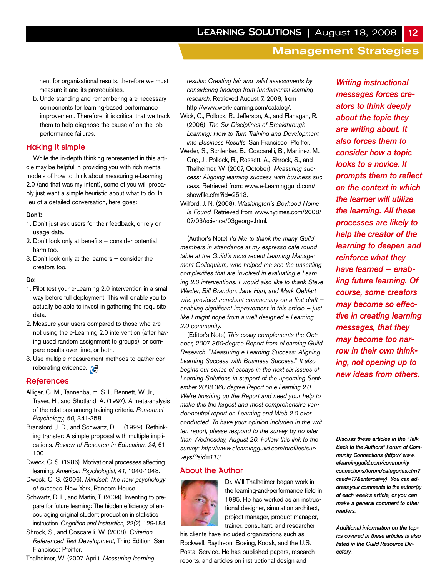nent for organizational results, therefore we must measure it and its prerequisites.

b. Understanding and remembering are necessary components for learning-based performance improvement. Therefore, it is critical that we track them to help diagnose the cause of on-the-job performance failures.

# Making it simple

While the in-depth thinking represented in this article may be helpful in providing you with rich mental models of how to think about measuring e-Learning 2.0 (and that was my intent), some of you will probably just want a simple heuristic about what to do. In lieu of a detailed conversation, here goes:

#### **Don't:**

- 1. Don't just ask users for their feedback, or rely on usage data.
- 2. Don't look only at benefits consider potential harm too.
- 3. Don't look only at the learners consider the creators too.

#### **Do:**

- 1. Pilot test your e-Learning 2.0 intervention in a small way before full deployment. This will enable you to actually be able to invest in gathering the requisite data.
- 2. Measure your users compared to those who are not using the e-Learning 2.0 intervention (after having used random assignment to groups), or compare results over time, or both.
- 3. Use multiple measurement methods to gather corroborating evidence.

# **References**

- Alliger, G. M., Tannenbaum, S. I., Bennett, W. Jr., Traver, H., and Shotland, A. (1997). A meta-analysis of the relations among training criteria. *Personnel Psychology, 50,* 341-358.
- Bransford, J. D., and Schwartz, D. L. (1999). Rethinking transfer: A simple proposal with multiple implications. *Review of Research in Education, 24*, 61- 100.
- Dweck, C. S. (1986). Motivational processes affecting learning. *American Psychologist, 41*, 1040-1048.
- Dweck, C. S. (2006). *Mindset: The new psychology of success*. New York, Random House.
- Schwartz, D. L., and Martin, T. (2004). Inventing to prepare for future learning: The hidden efficiency of encouraging original student production in statistics instruction. *Cognition and Instruction, 22(2*), 129-184.
- Shrock, S., and Coscarelli, W. (2008). *Criterion-Referenced Test Development,* Third Edition. San Francisco: Pfeiffer.
- Thalheimer, W. (2007, April). *Measuring learning*

*results: Creating fair and valid assessments by considering findings from fundamental learning research*. Retrieved August 7, 2008, from http://www.work-learning.com/catalog/.

- Wick, C., Pollock, R., Jefferson, A., and Flanagan, R. (2006). *The Six Disciplines of Breakthrough Learning: How to Turn Training and Development into Business Results*. San Francisco: Pfeiffer.
- Wexler, S., Schlenker, B., Coscarelli, B., Martinez, M., Ong, J., Pollock, R., Rossett, A., Shrock, S., and Thalheimer, W. (2007, October). *Measuring success: Aligning learning success with business success.* Retrieved from: www.e-Learningguild.com/ showfile.cfm?id=2513.
- Wilford, J. N. (2008). *Washington's Boyhood Home Is Found.* Retrieved from www.nytimes.com/2008/ 07/03/science/03george.html.

(Author's Note) *I'd like to thank the many Guild members in attendance at my espresso café roundtable at the Guild's most recent Learning Management Colloquium, who helped me see the unsettling complexities that are involved in evaluating e-Learning 2.0 interventions. I would also like to thank Steve Wexler, Bill Brandon, Jane Hart, and Mark Oehlert who provided trenchant commentary on a first draft enabling significant improvement in this article — just like I might hope from a well-designed e-Learning 2.0 community.*

(Editor's Note) *This essay complements the October, 2007 360-degree Report from eLearning Guild Research, "Measuring e-Learning Success: Aligning Learning Success with Business Success." It also begins our series of essays in the next six issues of Learning Solutions in support of the upcoming September 2008 360-degree Report on e-Learning 2.0. We're finishing up the Report and need your help to make this the largest and most comprehensive vendor-neutral report on Learning and Web 2.0 ever conducted. To have your opinion included in the written report, please respond to the survey by no later than Wednesday, August 20. Follow this link to the survey: http://www.elearningguild.com/profiles/surveys/?sid=113*

## About the Author



Dr. Will Thalheimer began work in the learning-and-performance field in 1985. He has worked as an instructional designer, simulation architect, project manager, product manager, trainer, consultant, and researcher;

his clients have included organizations such as Rockwell, Raytheon, Boeing, Kodak, and the U.S. Postal Service. He has published papers, research reports, and articles on instructional design and

*Writing instructional messages forces creators to think deeply about the topic they are writing about. It also forces them to consider how a topic looks to a novice. It prompts them to reflect on the context in which the learner will utilize the learning. All these processes are likely to help the creator of the learning to deepen and reinforce what they have learned — enabling future learning. Of course, some creators may become so effective in creating learning messages, that they may become too narrow in their own thinking, not opening up to new ideas from others.* 

*Discuss these articles in the "Talk Back to the Authors" Forum of Community Connections (http:// www. elearningguild.com/community\_ connections/forum/categories.cfm? catid=17&entercat=y). You can address your comments to the author(s) of each week's article, or you can make a general comment to other readers.*

*Additional information on the topics covered in these articles is also listed in the Guild Resource Directory.*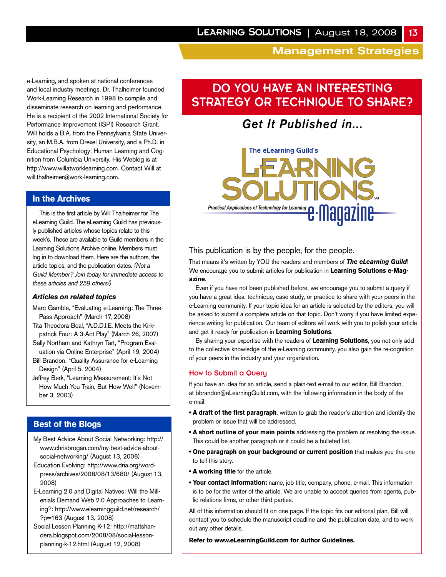e-Learning, and spoken at national conferences and local industry meetings. Dr. Thalheimer founded Work-Learning Research in 1998 to compile and disseminate research on learning and performance. He is a recipient of the 2002 International Society for Performance Improvement (ISPI) Research Grant. Will holds a B.A. from the Pennsylvania State University, an M.B.A. from Drexel University, and a Ph.D. in Educational Psychology: Human Learning and Cognition from Columbia University. His Weblog is at http://www.willatworklearning.com. Contact Will at will.thalheimer@work-learning.com.

# **In the Archives**

This is the first article by Will Thalheimer for The eLearning Guild. The eLearning Guild has previously published articles whose topics relate to this week's. These are available to Guild members in the Learning Solutions Archive online. Members must log in to download them. Here are the authors, the article topics, and the publication dates. *(Not a Guild Member? Join today for immediate access to these articles and 259 others!)*

# *Articles on related topics*

- Marc Gamble, "Evaluating e-Learning: The Three-Pass Approach" (March 17, 2008)
- Tita Theodora Beal, "A.D.D.I.E. Meets the Kirkpatrick Four: A 3-Act Play" (March 26, 2007)
- Sally Northam and Kathryn Tart, "Program Evaluation via Online Enterprise" (April 19, 2004)
- Bill Brandon, "Quality Assurance for e-Learning Design" (April 5, 2004)

Jeffrey Berk, "Learning Measurement: It's Not How Much You Train, But How Well" (November 3, 2003)

# **Best of the Blogs**

- My Best Advice About Social Networking: http:// www.chrisbrogan.com/my-best-advice-aboutsocial-networking/ (August 13, 2008)
- Education Evolving: http://www.dria.org/wordpress/archives/2008/08/13/680/ (August 13, 2008)
- E-Learning 2.0 and Digital Natives: Will the Millenials Demand Web 2.0 Approaches to Learning?: http://www.elearningguild.net/research/ ?p=163 (August 13, 2008)
- Social Lesson Planning K-12: http://mattshandera.blogspot.com/2008/08/social-lessonplanning-k-12.html (August 12, 2008)

# DO YOU HAVE AN INTERESTING STRATEGY OR TECHNIQUE TO SHARE?

# *Get It Published in...*



# This publication is by the people, for the people.

That means it's written by YOU the readers and members of *The eLearning Guild*! We encourage you to submit articles for publication in **Learning Solutions e-Magazine**.

Even if you have not been published before, we encourage you to submit a query if you have a great idea, technique, case study, or practice to share with your peers in the e-Learning community. If your topic idea for an article is selected by the editors, you will be asked to submit a complete article on that topic. Don't worry if you have limited experience writing for publication. Our team of editors will work with you to polish your article and get it ready for publication in **Learning Solutions**.

By sharing your expertise with the readers of **Learning Solutions**, you not only add to the collective knowledge of the e-Learning community, you also gain the re-cognition of your peers in the industry and your organization.

# How to Submit a Query

If you have an idea for an article, send a plain-text e-mail to our editor, Bill Brandon, at bbrandon@eLearningGuild.com, with the following information in the body of the e-mail:

- **A draft of the first paragraph**, written to grab the reader's attention and identify the problem or issue that will be addressed.
- **A short outline of your main points** addressing the problem or resolving the issue. This could be another paragraph or it could be a bulleted list.
- **One paragraph on your background or current position** that makes you the one to tell this story.
- **A working title** for the article.
- **Your contact information:** name, job title, company, phone, e-mail. This information is to be for the writer of the article. We are unable to accept queries from agents, public relations firms, or other third parties.

All of this information should fit on one page. If the topic fits our editorial plan, Bill will contact you to schedule the manuscript deadline and the publication date, and to work out any other details.

**Refer to www.eLearningGuild.com for Author Guidelines.**